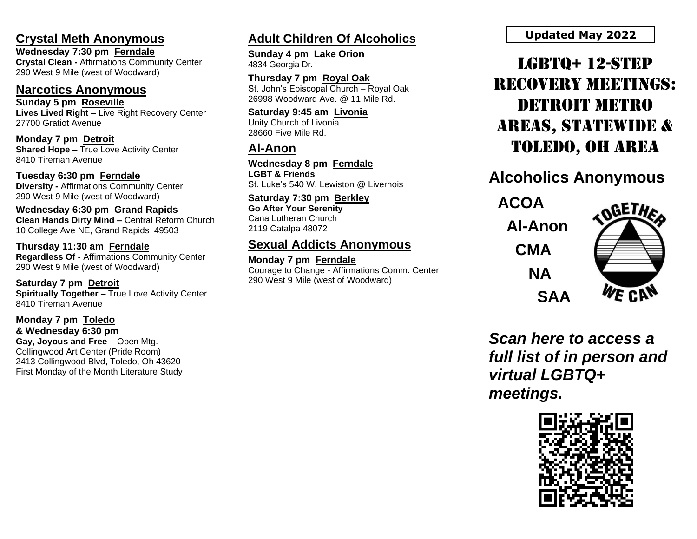#### **Crystal Meth Anonymous**

**Wednesday 7:30 pm Ferndale Crystal Clean -** Affirmations Community Center 290 West 9 Mile (west of Woodward)

#### **Narcotics Anonymous**

**Sunday 5 pm Roseville Lives Lived Right –** Live Right Recovery Center 27700 Gratiot Avenue

**Monday 7 pm Detroit Shared Hope - True Love Activity Center** 8410 Tireman Avenue

**Tuesday 6:30 pm Ferndale Diversity -** Affirmations Community Center 290 West 9 Mile (west of Woodward)

**Wednesday 6:30 pm Grand Rapids Clean Hands Dirty Mind –** Central Reform Church 10 College Ave NE, Grand Rapids 49503

**Thursday 11:30 am Ferndale Regardless Of -** Affirmations Community Center 290 West 9 Mile (west of Woodward)

**Saturday 7 pm Detroit Spiritually Together –** True Love Activity Center 8410 Tireman Avenue

**Monday 7 pm Toledo & Wednesday 6:30 pm Gay, Joyous and Free** – Open Mtg. Collingwood Art Center (Pride Room) 2413 Collingwood Blvd, Toledo, Oh 43620 First Monday of the Month Literature Study

# **Adult Children Of Alcoholics**

**Sunday 4 pm Lake Orion** 4834 Georgia Dr.

**Thursday 7 pm Royal Oak** St. John's Episcopal Church – Royal Oak 26998 Woodward Ave. @ 11 Mile Rd.

**Saturday 9:45 am Livonia** Unity Church of Livonia 28660 Five Mile Rd.

# **Al-Anon**

**Wednesday 8 pm Ferndale LGBT & Friends** St. Luke's 540 W. Lewiston @ Livernois

**Saturday 7:30 pm Berkley Go After Your Serenity** Cana Lutheran Church 2119 Catalpa 48072

# **Sexual Addicts Anonymous**

**Monday 7 pm Ferndale** Courage to Change - Affirmations Comm. Center 290 West 9 Mile (west of Woodward)

### **Updated May 2022**

LGBTQ+ 12-STEP Recovery Meetings: Detroit METRO AREAS, STATEWIDE & Toledo, OH area

# **Alcoholics Anonymous**

 **ACOA Al-Anon CMA NA**

 **SAA**



*Scan here to access a full list of in person and virtual LGBTQ+ meetings.*